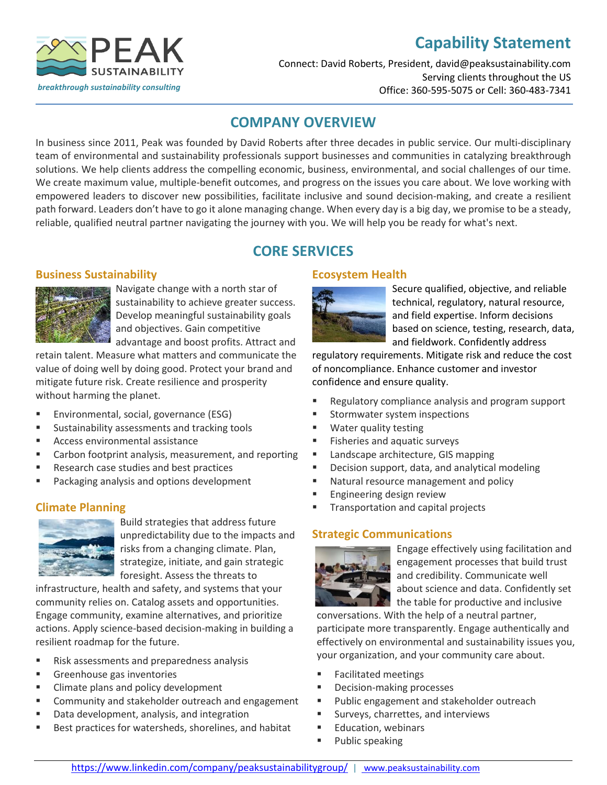# **Capability Statement**



#### Connect: David Roberts, President, david@peaksustainability.com Serving clients throughout the US Office: 360-595-5075 or Cell: 360-483-7341

### **COMPANY OVERVIEW**

In business since 2011, Peak was founded by David Roberts after three decades in public service. Our multi-disciplinary team of environmental and sustainability professionals support businesses and communities in catalyzing breakthrough solutions. We help clients address the compelling economic, business, environmental, and social challenges of our time. We create maximum value, multiple-benefit outcomes, and progress on the issues you care about. We love working with empowered leaders to discover new possibilities, facilitate inclusive and sound decision-making, and create a resilient path forward. Leaders don't have to go it alone managing change. When every day is a big day, we promise to be a steady, reliable, qualified neutral partner navigating the journey with you. We will help you be ready for what's next.

# **CORE SERVICES**

### **Business Sustainability**



Navigate change with a north star of sustainability to achieve greater success. Develop meaningful sustainability goals and objectives. Gain competitive advantage and boost profits. Attract and

retain talent. Measure what matters and communicate the value of doing well by doing good. Protect your brand and mitigate future risk. Create resilience and prosperity without harming the planet.

- Environmental, social, governance (ESG)
- Sustainability assessments and tracking tools
- Access environmental assistance
- Carbon footprint analysis, measurement, and reporting
- Research case studies and best practices
- Packaging analysis and options development

### **Climate Planning**



Build strategies that address future unpredictability due to the impacts and risks from a changing climate. Plan, strategize, initiate, and gain strategic foresight. Assess the threats to

infrastructure, health and safety, and systems that your community relies on. Catalog assets and opportunities. Engage community, examine alternatives, and prioritize actions. Apply science-based decision-making in building a resilient roadmap for the future.

- Risk assessments and preparedness analysis
- Greenhouse gas inventories
- Climate plans and policy development
- Community and stakeholder outreach and engagement
- Data development, analysis, and integration
- Best practices for watersheds, shorelines, and habitat

### **Ecosystem Health**



Secure qualified, objective, and reliable technical, regulatory, natural resource, and field expertise. Inform decisions based on science, testing, research, data, and fieldwork. Confidently address

regulatory requirements. Mitigate risk and reduce the cost of noncompliance. Enhance customer and investor confidence and ensure quality.

- Regulatory compliance analysis and program support
- Stormwater system inspections
- Water quality testing
- Fisheries and aquatic surveys
- Landscape architecture, GIS mapping
- Decision support, data, and analytical modeling
- Natural resource management and policy
- Engineering design review
- Transportation and capital projects

### **Strategic Communications**



Engage effectively using facilitation and engagement processes that build trust and credibility. Communicate well about science and data. Confidently set the table for productive and inclusive

conversations. With the help of a neutral partner, participate more transparently. Engage authentically and effectively on environmental and sustainability issues you, your organization, and your community care about.

- Facilitated meetings
- Decision-making processes
- Public engagement and stakeholder outreach
- Surveys, charrettes, and interviews
- **Education, webinars**
- Public speaking